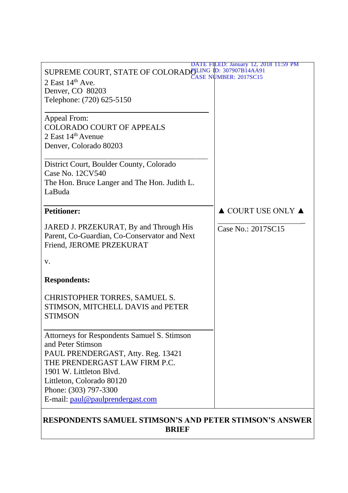| SUPREME COURT, STATE OF COLORAD FLING ID: 307907B14AA91<br>2 East $14th$ Ave.<br>Denver, CO 80203<br>Telephone: (720) 625-5150                                                                                                                               | DATE FILED: January 12, 2018 11:59 PM  |  |  |  |  |
|--------------------------------------------------------------------------------------------------------------------------------------------------------------------------------------------------------------------------------------------------------------|----------------------------------------|--|--|--|--|
| Appeal From:<br><b>COLORADO COURT OF APPEALS</b><br>2 East $14th$ Avenue<br>Denver, Colorado 80203                                                                                                                                                           |                                        |  |  |  |  |
| District Court, Boulder County, Colorado<br>Case No. 12CV540<br>The Hon. Bruce Langer and The Hon. Judith L.<br>LaBuda                                                                                                                                       |                                        |  |  |  |  |
| <b>Petitioner:</b>                                                                                                                                                                                                                                           | $\triangle$ COURT USE ONLY $\triangle$ |  |  |  |  |
| JARED J. PRZEKURAT, By and Through His<br>Parent, Co-Guardian, Co-Conservator and Next<br>Friend, JEROME PRZEKURAT                                                                                                                                           | Case No.: 2017SC15                     |  |  |  |  |
| V.                                                                                                                                                                                                                                                           |                                        |  |  |  |  |
| <b>Respondents:</b>                                                                                                                                                                                                                                          |                                        |  |  |  |  |
| CHRISTOPHER TORRES, SAMUEL S.<br>STIMSON, MITCHELL DAVIS and PETER<br><b>STIMSON</b>                                                                                                                                                                         |                                        |  |  |  |  |
| Attorneys for Respondents Samuel S. Stimson<br>and Peter Stimson<br>PAUL PRENDERGAST, Atty. Reg. 13421<br>THE PRENDERGAST LAW FIRM P.C.<br>1901 W. Littleton Blvd.<br>Littleton, Colorado 80120<br>Phone: (303) 797-3300<br>E-mail: paul@paulprendergast.com |                                        |  |  |  |  |
| <b>RESPONDENTS SAMUEL STIMSON'S AND PETER STIMSON'S ANSWER</b><br><b>BRIEF</b>                                                                                                                                                                               |                                        |  |  |  |  |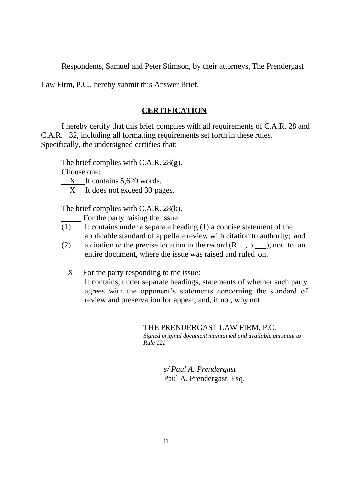Respondents, Samuel and Peter Stimson, by their attorneys, The Prendergast

Law Firm, P.C., hereby submit this Answer Brief.

### **CERTIFICATION**

I hereby certify that this brief complies with all requirements of C.A.R. 28 and C.A.R. 32, including all formatting requirements set forth in these rules. Specifically, the undersigned certifies that:

The brief complies with C.A.R. 28(g).

Choose one:

X It contains 5,620 words.

X It does not exceed 30 pages.

The brief complies with C.A.R. 28(k).

For the party raising the issue:

- (1) It contains under a separate heading (1) a concise statement of the applicable standard of appellate review with citation to authority; and
- (2) a citation to the precise location in the record  $(R, \eta, p, \eta)$ , not to an entire document, where the issue was raised and ruled on.
- X For the party responding to the issue:
	- It contains, under separate headings, statements of whether such party agrees with the opponent's statements concerning the standard of review and preservation for appeal; and, if not, why not.

#### THE PRENDERGAST LAW FIRM, P.C.

*Signed original document maintained and available pursuant to Rule 121.*

> *s/ Paul A. Prendergast* Paul A. Prendergast, Esq.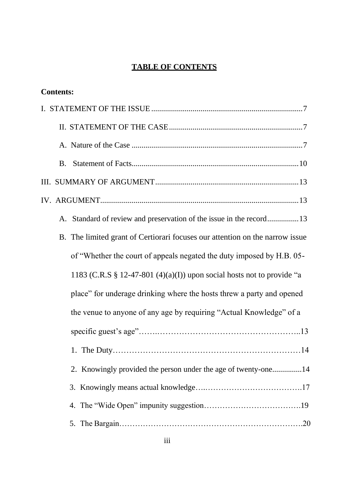# **TABLE OF CONTENTS**

| <b>Contents:</b>                                                             |
|------------------------------------------------------------------------------|
|                                                                              |
|                                                                              |
|                                                                              |
| B.                                                                           |
|                                                                              |
|                                                                              |
| A. Standard of review and preservation of the issue in the record13          |
| B. The limited grant of Certiorari focuses our attention on the narrow issue |
| of "Whether the court of appeals negated the duty imposed by H.B. 05-        |
| 1183 (C.R.S $\S$ 12-47-801 (4)(a)(I)) upon social hosts not to provide "a    |
| place" for underage drinking where the hosts threw a party and opened        |
| the venue to anyone of any age by requiring "Actual Knowledge" of a          |
|                                                                              |
| 1. The Duty<br>.14                                                           |
| 2. Knowingly provided the person under the age of twenty-one14               |
|                                                                              |
|                                                                              |
|                                                                              |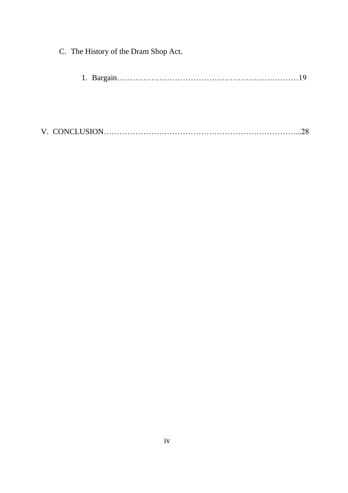| C. The History of the Dram Shop Act. |  |  |
|--------------------------------------|--|--|
|                                      |  |  |
|                                      |  |  |
|                                      |  |  |
|                                      |  |  |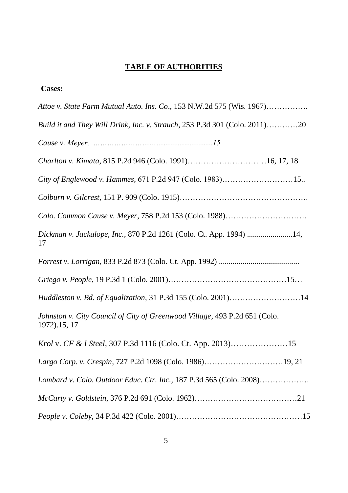# **TABLE OF AUTHORITIES**

| <b>Cases:</b>                                                                              |
|--------------------------------------------------------------------------------------------|
| Attoe v. State Farm Mutual Auto. Ins. Co., 153 N.W.2d 575 (Wis. 1967)                      |
| Build it and They Will Drink, Inc. v. Strauch, 253 P.3d 301 (Colo. 2011)20                 |
|                                                                                            |
|                                                                                            |
|                                                                                            |
|                                                                                            |
|                                                                                            |
| Dickman v. Jackalope, Inc., 870 P.2d 1261 (Colo. Ct. App. 1994) 14,<br>17                  |
|                                                                                            |
|                                                                                            |
| Huddleston v. Bd. of Equalization, 31 P.3d 155 (Colo. 2001)14                              |
| Johnston v. City Council of City of Greenwood Village, 493 P.2d 651 (Colo.<br>1972).15, 17 |
| <i>Krol v. CF &amp; I Steel, 307 P.3d 1116 (Colo. Ct. App. 2013)</i> 15                    |
|                                                                                            |
| Lombard v. Colo. Outdoor Educ. Ctr. Inc., 187 P.3d 565 (Colo. 2008)                        |
|                                                                                            |
|                                                                                            |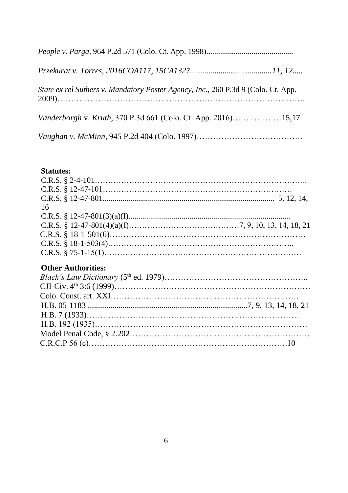| State ex rel Suthers v. Mandatory Poster Agency, Inc., 260 P.3d 9 (Colo. Ct. App. |  |
|-----------------------------------------------------------------------------------|--|
|                                                                                   |  |
|                                                                                   |  |

## **Statutes:**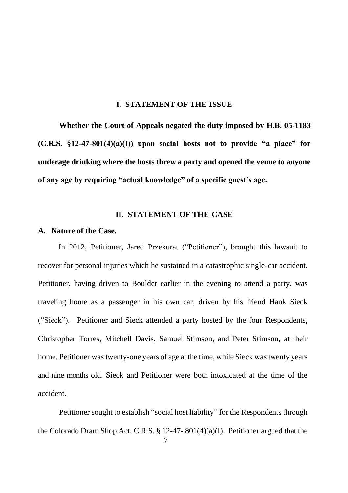#### **I. STATEMENT OF THE ISSUE**

**Whether the Court of Appeals negated the duty imposed by H.B. 05-1183 (C.R.S. §12-47-801(4)(a)(I)) upon social hosts not to provide "a place" for underage drinking where the hosts threw a party and opened the venue to anyone of any age by requiring "actual knowledge" of a specific guest's age.** 

## **II. STATEMENT OF THE CASE**

### **A. Nature of the Case.**

In 2012, Petitioner, Jared Przekurat ("Petitioner"), brought this lawsuit to recover for personal injuries which he sustained in a catastrophic single-car accident. Petitioner, having driven to Boulder earlier in the evening to attend a party, was traveling home as a passenger in his own car, driven by his friend Hank Sieck ("Sieck"). Petitioner and Sieck attended a party hosted by the four Respondents, Christopher Torres, Mitchell Davis, Samuel Stimson, and Peter Stimson, at their home. Petitioner was twenty-one years of age at the time, while Sieck was twenty years and nine months old. Sieck and Petitioner were both intoxicated at the time of the accident.

7 Petitioner sought to establish "social host liability" for the Respondents through the Colorado Dram Shop Act, C.R.S. § 12-47- 801(4)(a)(I). Petitioner argued that the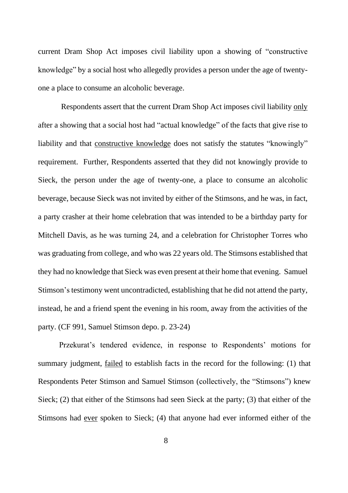current Dram Shop Act imposes civil liability upon a showing of "constructive knowledge" by a social host who allegedly provides a person under the age of twentyone a place to consume an alcoholic beverage.

Respondents assert that the current Dram Shop Act imposes civil liability only after a showing that a social host had "actual knowledge" of the facts that give rise to liability and that constructive knowledge does not satisfy the statutes "knowingly" requirement. Further, Respondents asserted that they did not knowingly provide to Sieck, the person under the age of twenty-one, a place to consume an alcoholic beverage, because Sieck was not invited by either of the Stimsons, and he was, in fact, a party crasher at their home celebration that was intended to be a birthday party for Mitchell Davis, as he was turning 24, and a celebration for Christopher Torres who was graduating from college, and who was 22 years old. The Stimsons established that they had no knowledge that Sieck was even present at their home that evening. Samuel Stimson's testimony went uncontradicted, establishing that he did not attend the party, instead, he and a friend spent the evening in his room, away from the activities of the party. (CF 991, Samuel Stimson depo. p. 23-24)

Przekurat's tendered evidence, in response to Respondents' motions for summary judgment, failed to establish facts in the record for the following: (1) that Respondents Peter Stimson and Samuel Stimson (collectively, the "Stimsons") knew Sieck; (2) that either of the Stimsons had seen Sieck at the party; (3) that either of the Stimsons had ever spoken to Sieck; (4) that anyone had ever informed either of the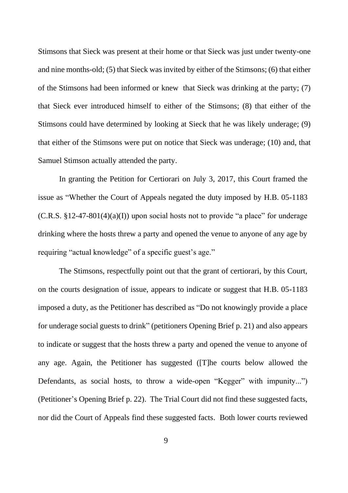Stimsons that Sieck was present at their home or that Sieck was just under twenty-one and nine months-old; (5) that Sieck was invited by either of the Stimsons; (6) that either of the Stimsons had been informed or knew that Sieck was drinking at the party; (7) that Sieck ever introduced himself to either of the Stimsons; (8) that either of the Stimsons could have determined by looking at Sieck that he was likely underage; (9) that either of the Stimsons were put on notice that Sieck was underage; (10) and, that Samuel Stimson actually attended the party.

In granting the Petition for Certiorari on July 3, 2017, this Court framed the issue as "Whether the Court of Appeals negated the duty imposed by H.B. 05-1183  $(C.R.S. §12-47-801(4)(a)$  upon social hosts not to provide "a place" for underage drinking where the hosts threw a party and opened the venue to anyone of any age by requiring "actual knowledge" of a specific guest's age."

The Stimsons, respectfully point out that the grant of certiorari, by this Court, on the courts designation of issue, appears to indicate or suggest that H.B. 05-1183 imposed a duty, as the Petitioner has described as "Do not knowingly provide a place for underage social guests to drink" (petitioners Opening Brief p. 21) and also appears to indicate or suggest that the hosts threw a party and opened the venue to anyone of any age. Again, the Petitioner has suggested ([T]he courts below allowed the Defendants, as social hosts, to throw a wide-open "Kegger" with impunity...") (Petitioner's Opening Brief p. 22). The Trial Court did not find these suggested facts, nor did the Court of Appeals find these suggested facts. Both lower courts reviewed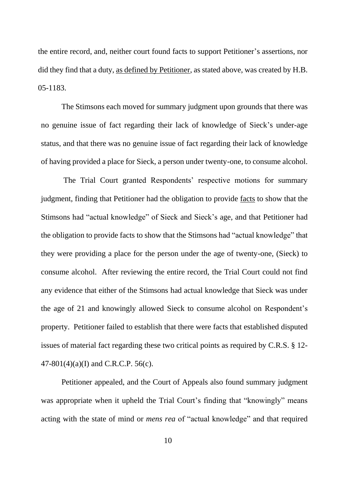the entire record, and, neither court found facts to support Petitioner's assertions, nor did they find that a duty, as defined by Petitioner, as stated above, was created by H.B. 05-1183.

The Stimsons each moved for summary judgment upon grounds that there was no genuine issue of fact regarding their lack of knowledge of Sieck's under-age status, and that there was no genuine issue of fact regarding their lack of knowledge of having provided a place for Sieck, a person under twenty-one, to consume alcohol.

The Trial Court granted Respondents' respective motions for summary judgment, finding that Petitioner had the obligation to provide facts to show that the Stimsons had "actual knowledge" of Sieck and Sieck's age, and that Petitioner had the obligation to provide facts to show that the Stimsons had "actual knowledge" that they were providing a place for the person under the age of twenty-one, (Sieck) to consume alcohol. After reviewing the entire record, the Trial Court could not find any evidence that either of the Stimsons had actual knowledge that Sieck was under the age of 21 and knowingly allowed Sieck to consume alcohol on Respondent's property. Petitioner failed to establish that there were facts that established disputed issues of material fact regarding these two critical points as required by C.R.S. § 12- 47-801(4)(a)(I) and C.R.C.P. 56(c).

Petitioner appealed, and the Court of Appeals also found summary judgment was appropriate when it upheld the Trial Court's finding that "knowingly" means acting with the state of mind or *mens rea* of "actual knowledge" and that required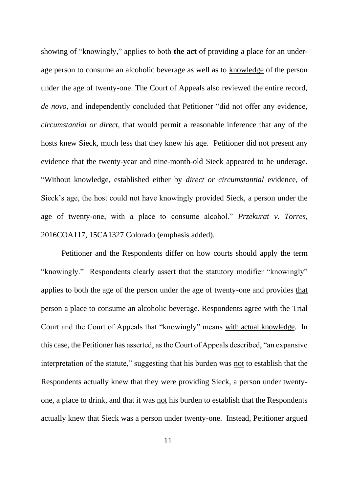showing of "knowingly," applies to both **the act** of providing a place for an underage person to consume an alcoholic beverage as well as to knowledge of the person under the age of twenty-one. The Court of Appeals also reviewed the entire record, *de novo*, and independently concluded that Petitioner "did not offer any evidence, *circumstantial or direct*, that would permit a reasonable inference that any of the hosts knew Sieck, much less that they knew his age. Petitioner did not present any evidence that the twenty-year and nine-month-old Sieck appeared to be underage. "Without knowledge, established either by *direct or circumstantial* evidence, of Sieck's age, the host could not have knowingly provided Sieck, a person under the age of twenty-one, with a place to consume alcohol." *Przekurat v. Torres*, 2016COA117, 15CA1327 Colorado (emphasis added).

Petitioner and the Respondents differ on how courts should apply the term "knowingly." Respondents clearly assert that the statutory modifier "knowingly" applies to both the age of the person under the age of twenty-one and provides that person a place to consume an alcoholic beverage. Respondents agree with the Trial Court and the Court of Appeals that "knowingly" means with actual knowledge. In this case, the Petitioner has asserted, as the Court of Appeals described, "an expansive interpretation of the statute," suggesting that his burden was not to establish that the Respondents actually knew that they were providing Sieck, a person under twentyone, a place to drink, and that it was not his burden to establish that the Respondents actually knew that Sieck was a person under twenty-one. Instead, Petitioner argued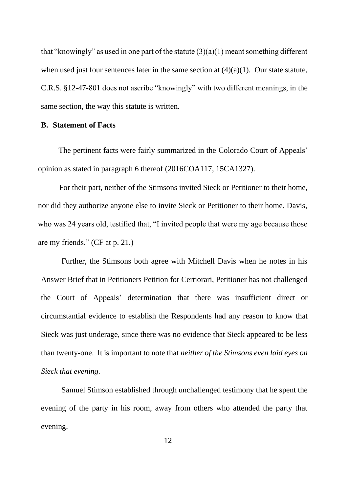that "knowingly" as used in one part of the statute  $(3)(a)(1)$  meant something different when used just four sentences later in the same section at  $(4)(a)(1)$ . Our state statute, C.R.S. §12-47-801 does not ascribe "knowingly" with two different meanings, in the same section, the way this statute is written.

## **B. Statement of Facts**

The pertinent facts were fairly summarized in the Colorado Court of Appeals' opinion as stated in paragraph 6 thereof (2016COA117, 15CA1327).

For their part, neither of the Stimsons invited Sieck or Petitioner to their home, nor did they authorize anyone else to invite Sieck or Petitioner to their home. Davis, who was 24 years old, testified that, "I invited people that were my age because those are my friends." (CF at p. 21.)

Further, the Stimsons both agree with Mitchell Davis when he notes in his Answer Brief that in Petitioners Petition for Certiorari, Petitioner has not challenged the Court of Appeals' determination that there was insufficient direct or circumstantial evidence to establish the Respondents had any reason to know that Sieck was just underage, since there was no evidence that Sieck appeared to be less than twenty-one. It is important to note that *neither of the Stimsons even laid eyes on Sieck that evening.*

Samuel Stimson established through unchallenged testimony that he spent the evening of the party in his room, away from others who attended the party that evening.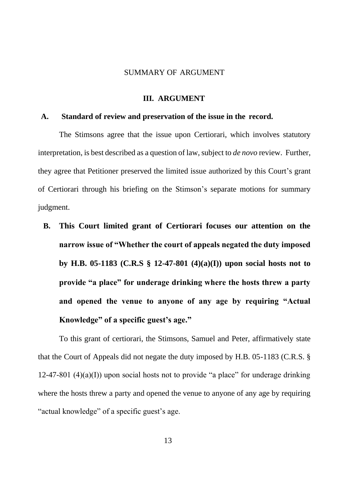#### SUMMARY OF ARGUMENT

#### **III. ARGUMENT**

#### **A. Standard of review and preservation of the issue in the record.**

The Stimsons agree that the issue upon Certiorari, which involves statutory interpretation, is best described as a question of law, subject to *de novo* review. Further, they agree that Petitioner preserved the limited issue authorized by this Court's grant of Certiorari through his briefing on the Stimson's separate motions for summary judgment.

**B. This Court limited grant of Certiorari focuses our attention on the narrow issue of "Whether the court of appeals negated the duty imposed by H.B. 05-1183 (C.R.S § 12-47-801 (4)(a)(I)) upon social hosts not to provide "a place" for underage drinking where the hosts threw a party and opened the venue to anyone of any age by requiring "Actual Knowledge" of a specific guest's age."**

To this grant of certiorari, the Stimsons, Samuel and Peter, affirmatively state that the Court of Appeals did not negate the duty imposed by H.B. 05-1183 (C.R.S. § 12-47-801 (4)(a)(I)) upon social hosts not to provide "a place" for underage drinking where the hosts threw a party and opened the venue to anyone of any age by requiring "actual knowledge" of a specific guest's age.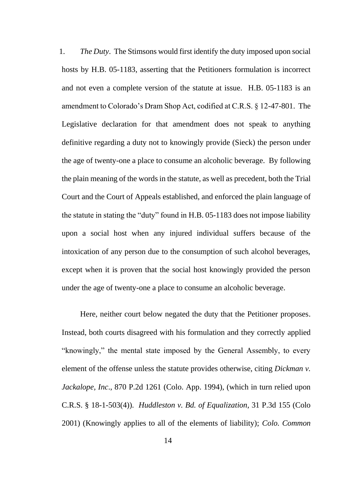1. *The Duty*. The Stimsons would first identify the duty imposed upon social hosts by H.B. 05-1183, asserting that the Petitioners formulation is incorrect and not even a complete version of the statute at issue. H.B. 05-1183 is an amendment to Colorado's Dram Shop Act, codified at C.R.S. § 12-47-801. The Legislative declaration for that amendment does not speak to anything definitive regarding a duty not to knowingly provide (Sieck) the person under the age of twenty-one a place to consume an alcoholic beverage. By following the plain meaning of the words in the statute, as well as precedent, both the Trial Court and the Court of Appeals established, and enforced the plain language of the statute in stating the "duty" found in H.B. 05-1183 does not impose liability upon a social host when any injured individual suffers because of the intoxication of any person due to the consumption of such alcohol beverages, except when it is proven that the social host knowingly provided the person under the age of twenty-one a place to consume an alcoholic beverage.

Here, neither court below negated the duty that the Petitioner proposes. Instead, both courts disagreed with his formulation and they correctly applied "knowingly," the mental state imposed by the General Assembly, to every element of the offense unless the statute provides otherwise, citing *Dickman v. Jackalope, Inc*., 870 P.2d 1261 (Colo. App. 1994), (which in turn relied upon C.R.S. § 18-1-503(4)). *Huddleston v. Bd. of Equalization*, 31 P.3d 155 (Colo 2001) (Knowingly applies to all of the elements of liability); *Colo. Common*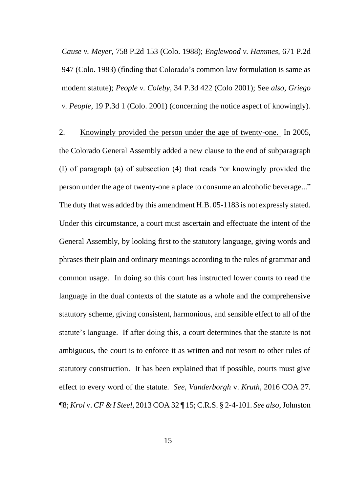*Cause v. Meyer*, 758 P.2d 153 (Colo. 1988); *Englewood v. Hammes,* 671 P.2d 947 (Colo. 1983) (finding that Colorado's common law formulation is same as modern statute); *People v. Coleby*, 34 P.3d 422 (Colo 2001); See *also*, *Griego v. People*, 19 P.3d 1 (Colo. 2001) (concerning the notice aspect of knowingly).

2. Knowingly provided the person under the age of twenty-one. In 2005, the Colorado General Assembly added a new clause to the end of subparagraph (I) of paragraph (a) of subsection (4) that reads "or knowingly provided the person under the age of twenty-one a place to consume an alcoholic beverage..." The duty that was added by this amendment H.B. 05-1183 is not expressly stated. Under this circumstance, a court must ascertain and effectuate the intent of the General Assembly, by looking first to the statutory language, giving words and phrases their plain and ordinary meanings according to the rules of grammar and common usage. In doing so this court has instructed lower courts to read the language in the dual contexts of the statute as a whole and the comprehensive statutory scheme, giving consistent, harmonious, and sensible effect to all of the statute's language. If after doing this, a court determines that the statute is not ambiguous, the court is to enforce it as written and not resort to other rules of statutory construction. It has been explained that if possible, courts must give effect to every word of the statute. *See*, *Vanderborgh* v. *Kruth*, 2016 COA 27. ¶8; *Krol* v. *CF & I Steel*, 2013 COA 32 ¶ 15; C.R.S. § 2-4-101. *See also*, Johnston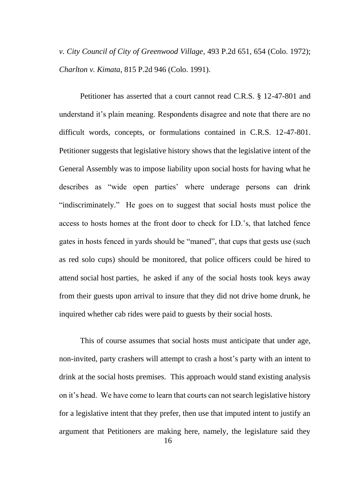*v. City Council of City of Greenwood Village*, 493 P.2d 651, 654 (Colo. 1972); *Charlton v. Kimata*, 815 P.2d 946 (Colo. 1991).

Petitioner has asserted that a court cannot read C.R.S. § 12-47-801 and understand it's plain meaning. Respondents disagree and note that there are no difficult words, concepts, or formulations contained in C.R.S. 12-47-801. Petitioner suggests that legislative history shows that the legislative intent of the General Assembly was to impose liability upon social hosts for having what he describes as "wide open parties' where underage persons can drink "indiscriminately." He goes on to suggest that social hosts must police the access to hosts homes at the front door to check for I.D.'s, that latched fence gates in hosts fenced in yards should be "maned", that cups that gests use (such as red solo cups) should be monitored, that police officers could be hired to attend social host parties, he asked if any of the social hosts took keys away from their guests upon arrival to insure that they did not drive home drunk, he inquired whether cab rides were paid to guests by their social hosts.

This of course assumes that social hosts must anticipate that under age, non-invited, party crashers will attempt to crash a host's party with an intent to drink at the social hosts premises. This approach would stand existing analysis on it's head. We have come to learn that courts can not search legislative history for a legislative intent that they prefer, then use that imputed intent to justify an argument that Petitioners are making here, namely, the legislature said they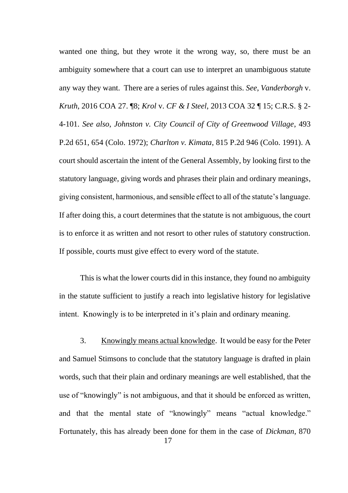wanted one thing, but they wrote it the wrong way, so, there must be an ambiguity somewhere that a court can use to interpret an unambiguous statute any way they want. There are a series of rules against this. *See*, *Vanderborgh* v. *Kruth*, 2016 COA 27. ¶8; *Krol* v. *CF & I Steel*, 2013 COA 32 ¶ 15; C.R.S. § 2- 4-101. *See also*, *Johnston v. City Council of City of Greenwood Village*, 493 P.2d 651, 654 (Colo. 1972); *Charlton v. Kimata*, 815 P.2d 946 (Colo. 1991). A court should ascertain the intent of the General Assembly, by looking first to the statutory language, giving words and phrases their plain and ordinary meanings, giving consistent, harmonious, and sensible effect to all of the statute's language. If after doing this, a court determines that the statute is not ambiguous, the court is to enforce it as written and not resort to other rules of statutory construction. If possible, courts must give effect to every word of the statute.

This is what the lower courts did in this instance, they found no ambiguity in the statute sufficient to justify a reach into legislative history for legislative intent. Knowingly is to be interpreted in it's plain and ordinary meaning.

3. Knowingly means actual knowledge. It would be easy for the Peter and Samuel Stimsons to conclude that the statutory language is drafted in plain words, such that their plain and ordinary meanings are well established, that the use of "knowingly" is not ambiguous, and that it should be enforced as written, and that the mental state of "knowingly" means "actual knowledge." Fortunately, this has already been done for them in the case of *Dickman*, 870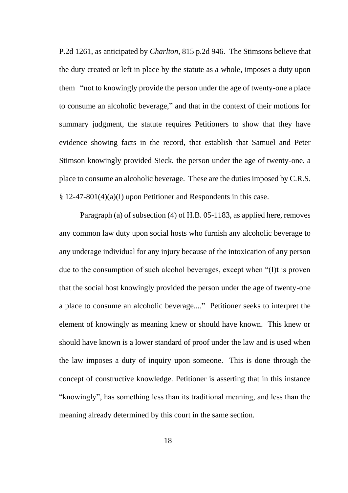P.2d 1261, as anticipated by *Charlton*, 815 p.2d 946. The Stimsons believe that the duty created or left in place by the statute as a whole, imposes a duty upon them "not to knowingly provide the person under the age of twenty-one a place to consume an alcoholic beverage," and that in the context of their motions for summary judgment, the statute requires Petitioners to show that they have evidence showing facts in the record, that establish that Samuel and Peter Stimson knowingly provided Sieck, the person under the age of twenty-one, a place to consume an alcoholic beverage. These are the duties imposed by C.R.S. § 12-47-801(4)(a)(I) upon Petitioner and Respondents in this case.

Paragraph (a) of subsection (4) of H.B. 05-1183, as applied here, removes any common law duty upon social hosts who furnish any alcoholic beverage to any underage individual for any injury because of the intoxication of any person due to the consumption of such alcohol beverages, except when "(I)t is proven that the social host knowingly provided the person under the age of twenty-one a place to consume an alcoholic beverage...." Petitioner seeks to interpret the element of knowingly as meaning knew or should have known. This knew or should have known is a lower standard of proof under the law and is used when the law imposes a duty of inquiry upon someone. This is done through the concept of constructive knowledge. Petitioner is asserting that in this instance "knowingly", has something less than its traditional meaning, and less than the meaning already determined by this court in the same section.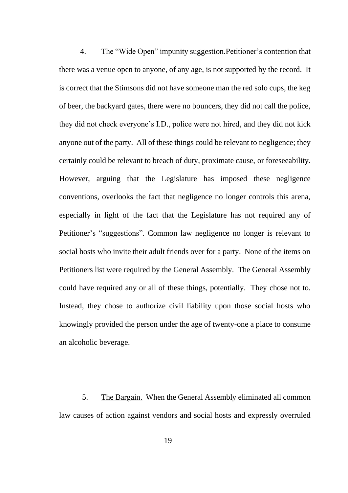4. The "Wide Open" impunity suggestion.Petitioner's contention that there was a venue open to anyone, of any age, is not supported by the record. It is correct that the Stimsons did not have someone man the red solo cups, the keg of beer, the backyard gates, there were no bouncers, they did not call the police, they did not check everyone's I.D., police were not hired, and they did not kick anyone out of the party. All of these things could be relevant to negligence; they certainly could be relevant to breach of duty, proximate cause, or foreseeability. However, arguing that the Legislature has imposed these negligence conventions, overlooks the fact that negligence no longer controls this arena, especially in light of the fact that the Legislature has not required any of Petitioner's "suggestions". Common law negligence no longer is relevant to social hosts who invite their adult friends over for a party. None of the items on Petitioners list were required by the General Assembly. The General Assembly could have required any or all of these things, potentially. They chose not to. Instead, they chose to authorize civil liability upon those social hosts who knowingly provided the person under the age of twenty-one a place to consume an alcoholic beverage.

5. The Bargain. When the General Assembly eliminated all common law causes of action against vendors and social hosts and expressly overruled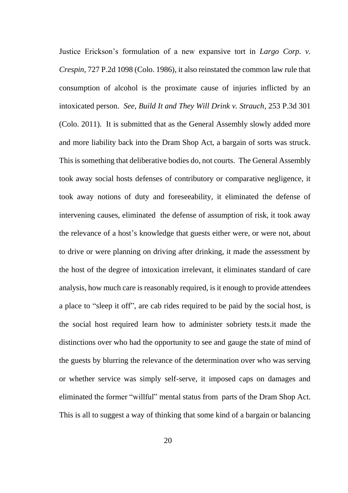Justice Erickson's formulation of a new expansive tort in *Largo Corp. v. Crespin*, 727 P.2d 1098 (Colo. 1986), it also reinstated the common law rule that consumption of alcohol is the proximate cause of injuries inflicted by an intoxicated person. *See, Build It and They Will Drink v. Strauch*, 253 P.3d 301 (Colo. 2011). It is submitted that as the General Assembly slowly added more and more liability back into the Dram Shop Act, a bargain of sorts was struck. This is something that deliberative bodies do, not courts. The General Assembly took away social hosts defenses of contributory or comparative negligence, it took away notions of duty and foreseeability, it eliminated the defense of intervening causes, eliminated the defense of assumption of risk, it took away the relevance of a host's knowledge that guests either were, or were not, about to drive or were planning on driving after drinking, it made the assessment by the host of the degree of intoxication irrelevant, it eliminates standard of care analysis, how much care is reasonably required, is it enough to provide attendees a place to "sleep it off", are cab rides required to be paid by the social host, is the social host required learn how to administer sobriety tests.it made the distinctions over who had the opportunity to see and gauge the state of mind of the guests by blurring the relevance of the determination over who was serving or whether service was simply self-serve, it imposed caps on damages and eliminated the former "willful" mental status from parts of the Dram Shop Act. This is all to suggest a way of thinking that some kind of a bargain or balancing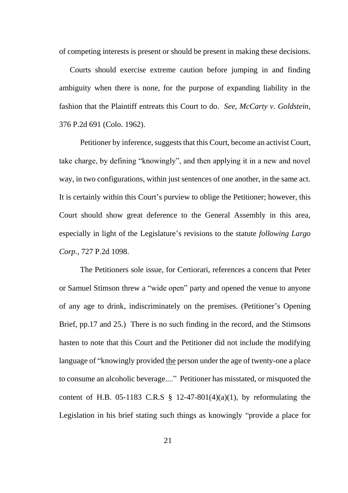of competing interests is present or should be present in making these decisions.

Courts should exercise extreme caution before jumping in and finding ambiguity when there is none, for the purpose of expanding liability in the fashion that the Plaintiff entreats this Court to do. *See, McCarty v. Goldstein*, 376 P.2d 691 (Colo. 1962).

Petitioner by inference, suggests that this Court, become an activist Court, take charge, by defining "knowingly", and then applying it in a new and novel way, in two configurations, within just sentences of one another, in the same act. It is certainly within this Court's purview to oblige the Petitioner; however, this Court should show great deference to the General Assembly in this area, especially in light of the Legislature's revisions to the statute *following Largo Corp.,* 727 P.2d 1098.

The Petitioners sole issue, for Certiorari, references a concern that Peter or Samuel Stimson threw a "wide open" party and opened the venue to anyone of any age to drink, indiscriminately on the premises. (Petitioner's Opening Brief, pp.17 and 25.) There is no such finding in the record, and the Stimsons hasten to note that this Court and the Petitioner did not include the modifying language of "knowingly provided the person under the age of twenty-one a place to consume an alcoholic beverage...." Petitioner has misstated, or misquoted the content of H.B. 05-1183 C.R.S  $\S$  12-47-801(4)(a)(1), by reformulating the Legislation in his brief stating such things as knowingly "provide a place for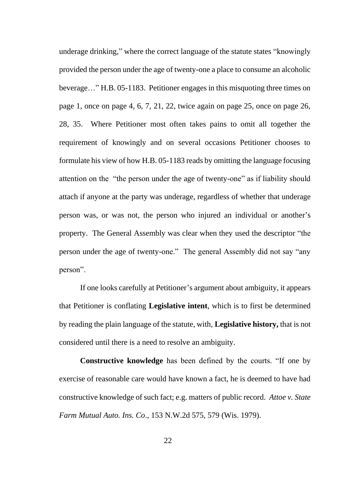underage drinking," where the correct language of the statute states "knowingly provided the person under the age of twenty-one a place to consume an alcoholic beverage…" H.B. 05-1183. Petitioner engages in this misquoting three times on page 1, once on page 4, 6, 7, 21, 22, twice again on page 25, once on page 26, 28, 35. Where Petitioner most often takes pains to omit all together the requirement of knowingly and on several occasions Petitioner chooses to formulate his view of how H.B. 05-1183 reads by omitting the language focusing attention on the "the person under the age of twenty-one" as if liability should attach if anyone at the party was underage, regardless of whether that underage person was, or was not, the person who injured an individual or another's property. The General Assembly was clear when they used the descriptor "the person under the age of twenty-one." The general Assembly did not say "any person".

If one looks carefully at Petitioner's argument about ambiguity, it appears that Petitioner is conflating **Legislative intent**, which is to first be determined by reading the plain language of the statute, with, **Legislative history,** that is not considered until there is a need to resolve an ambiguity.

**Constructive knowledge** has been defined by the courts. "If one by exercise of reasonable care would have known a fact, he is deemed to have had constructive knowledge of such fact; e.g. matters of public record. *Attoe v. State Farm Mutual Auto. Ins. Co*., 153 N.W.2d 575, 579 (Wis. 1979).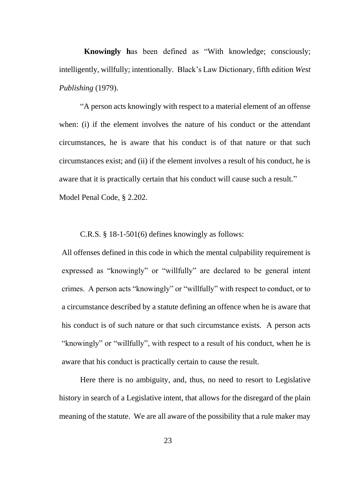**Knowingly h**as been defined as "With knowledge; consciously; intelligently, willfully; intentionally. Black's Law Dictionary, fifth edition *West Publishing* (1979).

"A person acts knowingly with respect to a material element of an offense when: (i) if the element involves the nature of his conduct or the attendant circumstances, he is aware that his conduct is of that nature or that such circumstances exist; and (ii) if the element involves a result of his conduct, he is aware that it is practically certain that his conduct will cause such a result." Model Penal Code, § 2.202.

C.R.S. § 18-1-501(6) defines knowingly as follows:

All offenses defined in this code in which the mental culpability requirement is expressed as "knowingly" or "willfully" are declared to be general intent crimes. A person acts "knowingly" or "willfully" with respect to conduct, or to a circumstance described by a statute defining an offence when he is aware that his conduct is of such nature or that such circumstance exists. A person acts "knowingly" or "willfully", with respect to a result of his conduct, when he is aware that his conduct is practically certain to cause the result.

Here there is no ambiguity, and, thus, no need to resort to Legislative history in search of a Legislative intent, that allows for the disregard of the plain meaning of the statute. We are all aware of the possibility that a rule maker may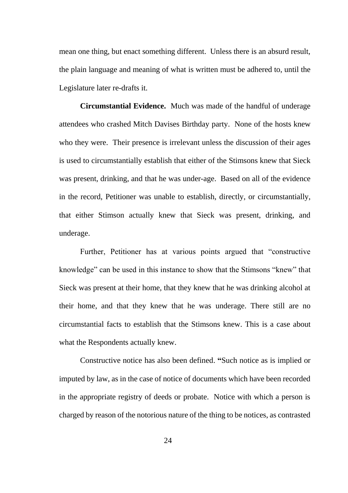mean one thing, but enact something different. Unless there is an absurd result, the plain language and meaning of what is written must be adhered to, until the Legislature later re-drafts it.

**Circumstantial Evidence.** Much was made of the handful of underage attendees who crashed Mitch Davises Birthday party. None of the hosts knew who they were. Their presence is irrelevant unless the discussion of their ages is used to circumstantially establish that either of the Stimsons knew that Sieck was present, drinking, and that he was under-age. Based on all of the evidence in the record, Petitioner was unable to establish, directly, or circumstantially, that either Stimson actually knew that Sieck was present, drinking, and underage.

Further, Petitioner has at various points argued that "constructive knowledge" can be used in this instance to show that the Stimsons "knew" that Sieck was present at their home, that they knew that he was drinking alcohol at their home, and that they knew that he was underage. There still are no circumstantial facts to establish that the Stimsons knew. This is a case about what the Respondents actually knew.

Constructive notice has also been defined. **"**Such notice as is implied or imputed by law, as in the case of notice of documents which have been recorded in the appropriate registry of deeds or probate. Notice with which a person is charged by reason of the notorious nature of the thing to be notices, as contrasted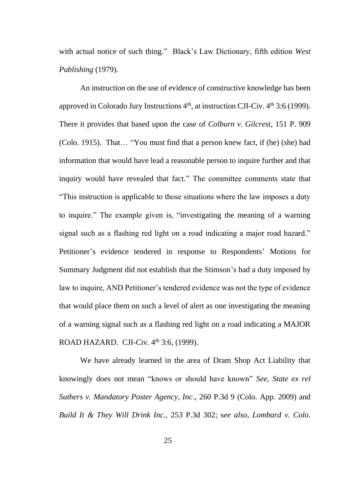with actual notice of such thing." Black's Law Dictionary, fifth edition *West Publishing* (1979).

An instruction on the use of evidence of constructive knowledge has been approved in Colorado Jury Instructions 4<sup>th</sup>, at instruction CJI-Civ. 4<sup>th</sup> 3:6 (1999). There it provides that based upon the case of *Colburn v. Gilcrest*, 151 P. 909 (Colo. 1915). That… "You must find that a person knew fact, if (he) (she) had information that would have lead a reasonable person to inquire further and that inquiry would have revealed that fact." The committee comments state that "This instruction is applicable to those situations where the law imposes a duty to inquire." The example given is, "investigating the meaning of a warning signal such as a flashing red light on a road indicating a major road hazard." Petitioner's evidence tendered in response to Respondents' Motions for Summary Judgment did not establish that the Stimson's had a duty imposed by law to inquire, AND Petitioner's tendered evidence was not the type of evidence that would place them on such a level of alert as one investigating the meaning of a warning signal such as a flashing red light on a road indicating a MAJOR ROAD HAZARD. CJI-Civ. 4<sup>th</sup> 3:6, (1999).

We have already learned in the area of Dram Shop Act Liability that knowingly does not mean "knows or should have known" *See, State ex rel Suthers v. Mandatory Poster Agency, Inc*., 260 P.3d 9 (Colo. App. 2009) and *Build It & They Will Drink Inc.*, 253 P.3d 302; s*ee also, Lombard v. Colo.*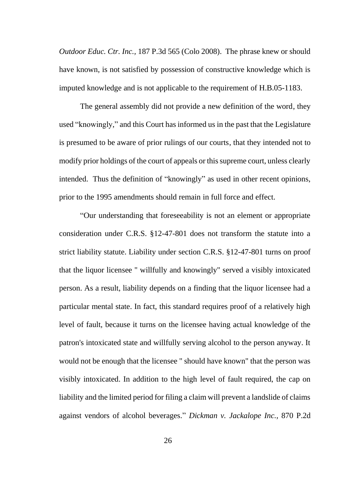*Outdoor Educ. Ctr. Inc.,* 187 P.3d 565 (Colo 2008). The phrase knew or should have known, is not satisfied by possession of constructive knowledge which is imputed knowledge and is not applicable to the requirement of H.B.05-1183.

The general assembly did not provide a new definition of the word, they used "knowingly," and this Court has informed us in the past that the Legislature is presumed to be aware of prior rulings of our courts, that they intended not to modify prior holdings of the court of appeals or this supreme court, unless clearly intended. Thus the definition of "knowingly" as used in other recent opinions, prior to the 1995 amendments should remain in full force and effect.

"Our understanding that foreseeability is not an element or appropriate consideration under C.R.S. §12-47-801 does not transform the statute into a strict liability statute. Liability under section C.R.S. §12-47-801 turns on proof that the liquor licensee " willfully and knowingly" served a visibly intoxicated person. As a result, liability depends on a finding that the liquor licensee had a particular mental state. In fact, this standard requires proof of a relatively high level of fault, because it turns on the licensee having actual knowledge of the patron's intoxicated state and willfully serving alcohol to the person anyway. It would not be enough that the licensee " should have known" that the person was visibly intoxicated. In addition to the high level of fault required, the cap on liability and the limited period for filing a claim will prevent a landslide of claims against vendors of alcohol beverages." *Dickman v. Jackalope Inc.,* 870 P.2d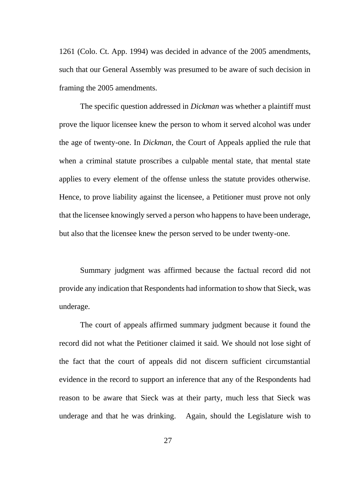1261 (Colo. Ct. App. 1994) was decided in advance of the 2005 amendments, such that our General Assembly was presumed to be aware of such decision in framing the 2005 amendments.

The specific question addressed in *Dickman* was whether a plaintiff must prove the liquor licensee knew the person to whom it served alcohol was under the age of twenty-one. In *Dickman*, the Court of Appeals applied the rule that when a criminal statute proscribes a culpable mental state, that mental state applies to every element of the offense unless the statute provides otherwise. Hence, to prove liability against the licensee, a Petitioner must prove not only that the licensee knowingly served a person who happens to have been underage, but also that the licensee knew the person served to be under twenty-one.

Summary judgment was affirmed because the factual record did not provide any indication that Respondents had information to show that Sieck, was underage.

The court of appeals affirmed summary judgment because it found the record did not what the Petitioner claimed it said. We should not lose sight of the fact that the court of appeals did not discern sufficient circumstantial evidence in the record to support an inference that any of the Respondents had reason to be aware that Sieck was at their party, much less that Sieck was underage and that he was drinking. Again, should the Legislature wish to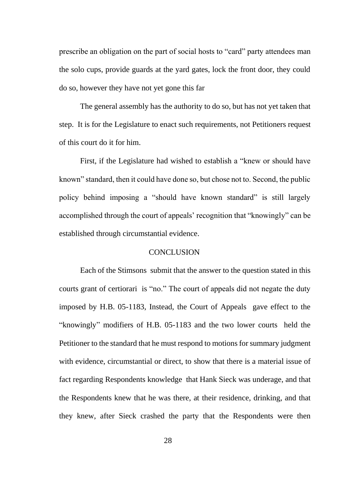prescribe an obligation on the part of social hosts to "card" party attendees man the solo cups, provide guards at the yard gates, lock the front door, they could do so, however they have not yet gone this far

The general assembly has the authority to do so, but has not yet taken that step. It is for the Legislature to enact such requirements, not Petitioners request of this court do it for him.

First, if the Legislature had wished to establish a "knew or should have known" standard, then it could have done so, but chose not to. Second, the public policy behind imposing a "should have known standard" is still largely accomplished through the court of appeals' recognition that "knowingly" can be established through circumstantial evidence.

### **CONCLUSION**

Each of the Stimsons submit that the answer to the question stated in this courts grant of certiorari is "no." The court of appeals did not negate the duty imposed by H.B. 05-1183, Instead, the Court of Appeals gave effect to the "knowingly" modifiers of H.B. 05-1183 and the two lower courts held the Petitioner to the standard that he must respond to motions for summary judgment with evidence, circumstantial or direct, to show that there is a material issue of fact regarding Respondents knowledge that Hank Sieck was underage, and that the Respondents knew that he was there, at their residence, drinking, and that they knew, after Sieck crashed the party that the Respondents were then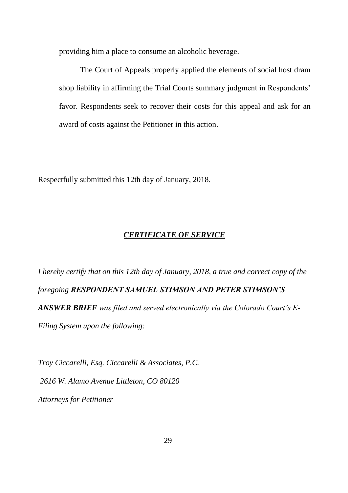providing him a place to consume an alcoholic beverage.

The Court of Appeals properly applied the elements of social host dram shop liability in affirming the Trial Courts summary judgment in Respondents' favor. Respondents seek to recover their costs for this appeal and ask for an award of costs against the Petitioner in this action.

Respectfully submitted this 12th day of January, 2018.

## *CERTIFICATE OF SERVICE*

*I hereby certify that on this 12th day of January, 2018, a true and correct copy of the foregoing RESPONDENT SAMUEL STIMSON AND PETER STIMSON'S ANSWER BRIEF was filed and served electronically via the Colorado Court's E-Filing System upon the following:*

*Troy Ciccarelli, Esq. Ciccarelli & Associates, P.C. 2616 W. Alamo Avenue Littleton, CO 80120 Attorneys for Petitioner*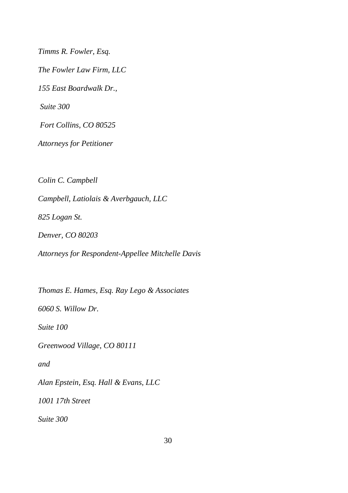*Timms R. Fowler, Esq. The Fowler Law Firm, LLC 155 East Boardwalk Dr., Suite 300 Fort Collins, CO 80525 Attorneys for Petitioner Colin C. Campbell Campbell, Latiolais & Averbgauch, LLC 825 Logan St.*

*Denver, CO 80203*

*Attorneys for Respondent-Appellee Mitchelle Davis*

*Thomas E. Hames, Esq. Ray Lego & Associates*

*6060 S. Willow Dr.* 

*Suite 100* 

*Greenwood Village, CO 80111*

*and*

*Alan Epstein, Esq. Hall & Evans, LLC*

*1001 17th Street*

*Suite 300*